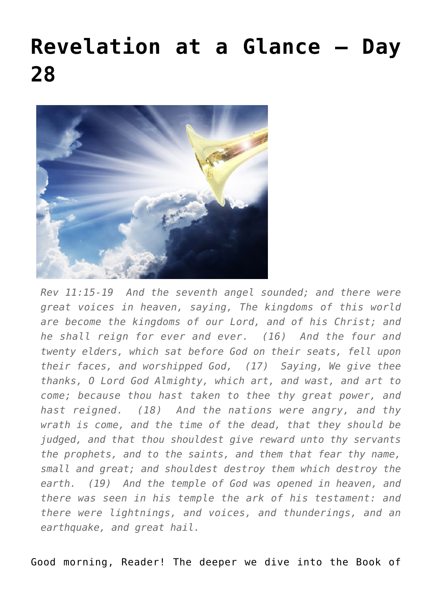## **[Revelation at a Glance – Day](https://maranatha.earnestlycontending.com/2022/06/22/revelation-at-a-glance-day-28/) [28](https://maranatha.earnestlycontending.com/2022/06/22/revelation-at-a-glance-day-28/)**



*Rev 11:15-19 And the seventh angel sounded; and there were great voices in heaven, saying, The kingdoms of this world are become the kingdoms of our Lord, and of his Christ; and he shall reign for ever and ever. (16) And the four and twenty elders, which sat before God on their seats, fell upon their faces, and worshipped God, (17) Saying, We give thee thanks, O Lord God Almighty, which art, and wast, and art to come; because thou hast taken to thee thy great power, and hast reigned. (18) And the nations were angry, and thy wrath is come, and the time of the dead, that they should be judged, and that thou shouldest give reward unto thy servants the prophets, and to the saints, and them that fear thy name, small and great; and shouldest destroy them which destroy the earth. (19) And the temple of God was opened in heaven, and there was seen in his temple the ark of his testament: and there were lightnings, and voices, and thunderings, and an earthquake, and great hail.*

Good morning, Reader! The deeper we dive into the Book of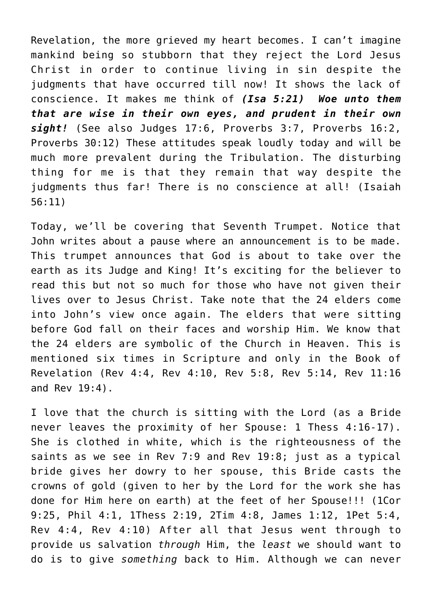Revelation, the more grieved my heart becomes. I can't imagine mankind being so stubborn that they reject the Lord Jesus Christ in order to continue living in sin despite the judgments that have occurred till now! It shows the lack of conscience. It makes me think of *(Isa 5:21) Woe unto them that are wise in their own eyes, and prudent in their own sight!* (See also Judges 17:6, Proverbs 3:7, Proverbs 16:2, Proverbs 30:12) These attitudes speak loudly today and will be much more prevalent during the Tribulation. The disturbing thing for me is that they remain that way despite the judgments thus far! There is no conscience at all! (Isaiah 56:11)

Today, we'll be covering that Seventh Trumpet. Notice that John writes about a pause where an announcement is to be made. This trumpet announces that God is about to take over the earth as its Judge and King! It's exciting for the believer to read this but not so much for those who have not given their lives over to Jesus Christ. Take note that the 24 elders come into John's view once again. The elders that were sitting before God fall on their faces and worship Him. We know that the 24 elders are symbolic of the Church in Heaven. This is mentioned six times in Scripture and only in the Book of Revelation (Rev 4:4, Rev 4:10, Rev 5:8, Rev 5:14, Rev 11:16 and Rev 19:4).

I love that the church is sitting with the Lord (as a Bride never leaves the proximity of her Spouse: 1 Thess 4:16-17). She is clothed in white, which is the righteousness of the saints as we see in Rev 7:9 and Rev 19:8; just as a typical bride gives her dowry to her spouse, this Bride casts the crowns of gold (given to her by the Lord for the work she has done for Him here on earth) at the feet of her Spouse!!! (1Cor 9:25, Phil 4:1, 1Thess 2:19, 2Tim 4:8, James 1:12, 1Pet 5:4, Rev 4:4, Rev 4:10) After all that Jesus went through to provide us salvation *through* Him, the *least* we should want to do is to give *something* back to Him. Although we can never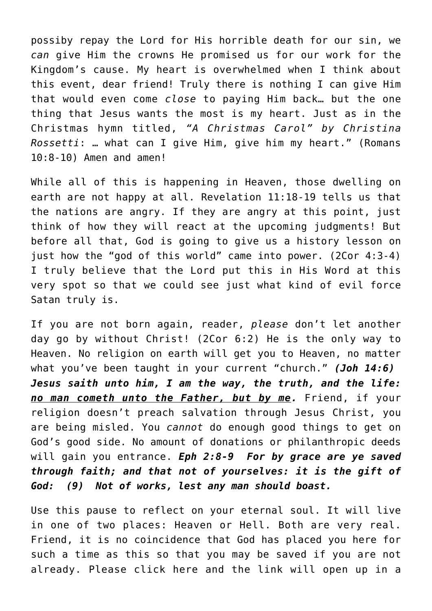possiby repay the Lord for His horrible death for our sin, we *can* give Him the crowns He promised us for our work for the Kingdom's cause. My heart is overwhelmed when I think about this event, dear friend! Truly there is nothing I can give Him that would even come *close* to paying Him back… but the one thing that Jesus wants the most is my heart. Just as in the Christmas hymn titled, *"A Christmas Carol" by Christina Rossetti*: … what can I give Him, give him my heart." (Romans 10:8-10) Amen and amen!

While all of this is happening in Heaven, those dwelling on earth are not happy at all. Revelation 11:18-19 tells us that the nations are angry. If they are angry at this point, just think of how they will react at the upcoming judgments! But before all that, God is going to give us a history lesson on just how the "god of this world" came into power. (2Cor 4:3-4) I truly believe that the Lord put this in His Word at this very spot so that we could see just what kind of evil force Satan truly is.

If you are not born again, reader, *please* don't let another day go by without Christ! (2Cor 6:2) He is the only way to Heaven. No religion on earth will get you to Heaven, no matter what you've been taught in your current "church." *(Joh 14:6) Jesus saith unto him, I am the way, the truth, and the life: no man cometh unto the Father, but by me.* Friend, if your religion doesn't preach salvation through Jesus Christ, you are being misled. You *cannot* do enough good things to get on God's good side. No amount of donations or philanthropic deeds will gain you entrance. *Eph 2:8-9 For by grace are ye saved through faith; and that not of yourselves: it is the gift of God: (9) Not of works, lest any man should boast.*

Use this pause to reflect on your eternal soul. It will live in one of two places: Heaven or Hell. Both are very real. Friend, it is no coincidence that God has placed you here for such a time as this so that you may be saved if you are not already. Please click here and the link will open up in a